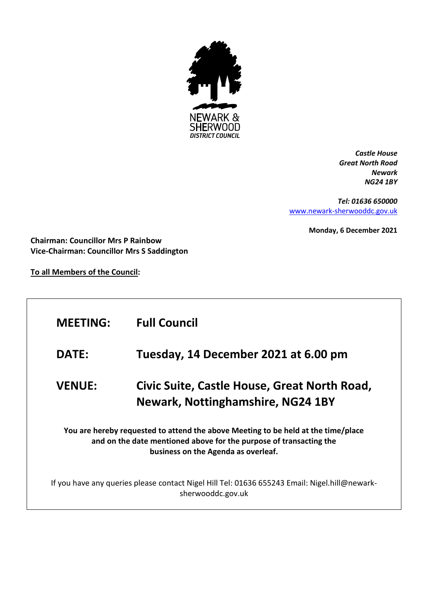

*Castle House Great North Road Newark NG24 1BY*

*Tel: 01636 650000* [www.newark-sherwooddc.gov.uk](http://www.newark-sherwooddc.gov.uk/)

**Monday, 6 December 2021**

**Chairman: Councillor Mrs P Rainbow Vice-Chairman: Councillor Mrs S Saddington**

**To all Members of the Council:**

| <b>MEETING:</b>                                                                                                                                                                                | <b>Full Council</b>                                                                                                |  |
|------------------------------------------------------------------------------------------------------------------------------------------------------------------------------------------------|--------------------------------------------------------------------------------------------------------------------|--|
| <b>DATE:</b>                                                                                                                                                                                   | Tuesday, 14 December 2021 at 6.00 pm                                                                               |  |
| <b>VENUE:</b>                                                                                                                                                                                  | Civic Suite, Castle House, Great North Road,<br><b>Newark, Nottinghamshire, NG24 1BY</b>                           |  |
| You are hereby requested to attend the above Meeting to be held at the time/place<br>and on the date mentioned above for the purpose of transacting the<br>business on the Agenda as overleaf. |                                                                                                                    |  |
|                                                                                                                                                                                                | If you have any queries please contact Nigel Hill Tel: 01636 655243 Email: Nigel.hill@newark-<br>sherwooddc.gov.uk |  |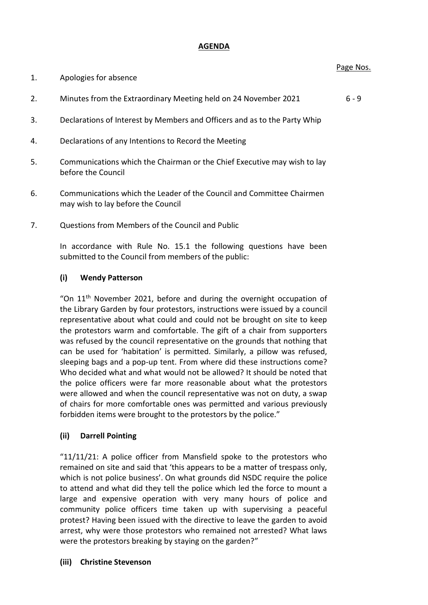### **AGENDA**

#### Page Nos.

- 1. Apologies for absence
- 2. Minutes from the Extraordinary Meeting held on 24 November 2021 6 9
- 3. Declarations of Interest by Members and Officers and as to the Party Whip
- 4. Declarations of any Intentions to Record the Meeting
- 5. Communications which the Chairman or the Chief Executive may wish to lay before the Council
- 6. Communications which the Leader of the Council and Committee Chairmen may wish to lay before the Council
- 7. Questions from Members of the Council and Public

In accordance with Rule No. 15.1 the following questions have been submitted to the Council from members of the public:

### **(i) Wendy Patterson**

"On  $11<sup>th</sup>$  November 2021, before and during the overnight occupation of the Library Garden by four protestors, instructions were issued by a council representative about what could and could not be brought on site to keep the protestors warm and comfortable. The gift of a chair from supporters was refused by the council representative on the grounds that nothing that can be used for 'habitation' is permitted. Similarly, a pillow was refused, sleeping bags and a pop-up tent. From where did these instructions come? Who decided what and what would not be allowed? It should be noted that the police officers were far more reasonable about what the protestors were allowed and when the council representative was not on duty, a swap of chairs for more comfortable ones was permitted and various previously forbidden items were brought to the protestors by the police."

#### **(ii) Darrell Pointing**

"11/11/21: A police officer from Mansfield spoke to the protestors who remained on site and said that 'this appears to be a matter of trespass only, which is not police business'. On what grounds did NSDC require the police to attend and what did they tell the police which led the force to mount a large and expensive operation with very many hours of police and community police officers time taken up with supervising a peaceful protest? Having been issued with the directive to leave the garden to avoid arrest, why were those protestors who remained not arrested? What laws were the protestors breaking by staying on the garden?"

#### **(iii) Christine Stevenson**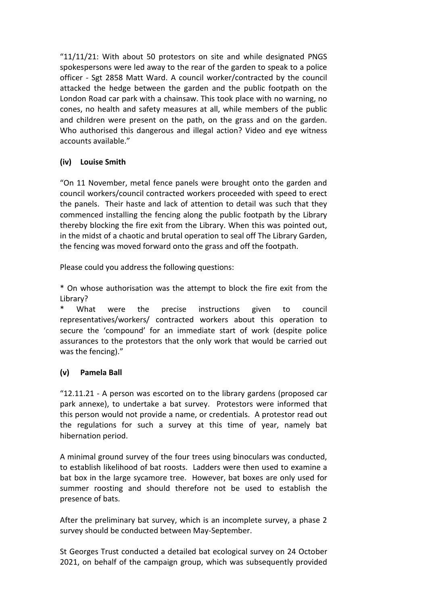" $11/11/21$ : With about 50 protestors on site and while designated PNGS spokespersons were led away to the rear of the garden to speak to a police officer - Sgt 2858 Matt Ward. A council worker/contracted by the council attacked the hedge between the garden and the public footpath on the London Road car park with a chainsaw. This took place with no warning, no cones, no health and safety measures at all, while members of the public and children were present on the path, on the grass and on the garden. Who authorised this dangerous and illegal action? Video and eye witness accounts available."

# **(iv) Louise Smith**

"On 11 November, metal fence panels were brought onto the garden and council workers/council contracted workers proceeded with speed to erect the panels. Their haste and lack of attention to detail was such that they commenced installing the fencing along the public footpath by the Library thereby blocking the fire exit from the Library. When this was pointed out, in the midst of a chaotic and brutal operation to seal off The Library Garden, the fencing was moved forward onto the grass and off the footpath.

Please could you address the following questions:

\* On whose authorisation was the attempt to block the fire exit from the Library?

What were the precise instructions given to council representatives/workers/ contracted workers about this operation to secure the 'compound' for an immediate start of work (despite police assurances to the protestors that the only work that would be carried out was the fencing)."

# **(v) Pamela Ball**

"12.11.21 - A person was escorted on to the library gardens (proposed car park annexe), to undertake a bat survey. Protestors were informed that this person would not provide a name, or credentials. A protestor read out the regulations for such a survey at this time of year, namely bat hibernation period.

A minimal ground survey of the four trees using binoculars was conducted, to establish likelihood of bat roosts. Ladders were then used to examine a bat box in the large sycamore tree. However, bat boxes are only used for summer roosting and should therefore not be used to establish the presence of bats.

After the preliminary bat survey, which is an incomplete survey, a phase 2 survey should be conducted between May-September.

St Georges Trust conducted a detailed bat ecological survey on 24 October 2021, on behalf of the campaign group, which was subsequently provided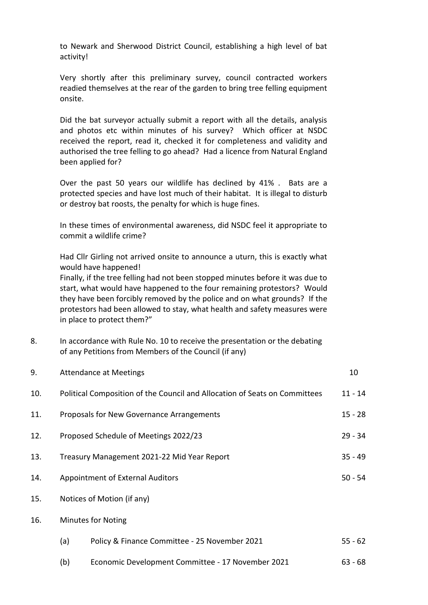to Newark and Sherwood District Council, establishing a high level of bat activity!

Very shortly after this preliminary survey, council contracted workers readied themselves at the rear of the garden to bring tree felling equipment onsite.

Did the bat surveyor actually submit a report with all the details, analysis and photos etc within minutes of his survey? Which officer at NSDC received the report, read it, checked it for completeness and validity and authorised the tree felling to go ahead? Had a licence from Natural England been applied for?

Over the past 50 years our wildlife has declined by 41% . Bats are a protected species and have lost much of their habitat. It is illegal to disturb or destroy bat roosts, the penalty for which is huge fines.

In these times of environmental awareness, did NSDC feel it appropriate to commit a wildlife crime?

Had Cllr Girling not arrived onsite to announce a uturn, this is exactly what would have happened!

Finally, if the tree felling had not been stopped minutes before it was due to start, what would have happened to the four remaining protestors? Would they have been forcibly removed by the police and on what grounds? If the protestors had been allowed to stay, what health and safety measures were in place to protect them?"

8. In accordance with Rule No. 10 to receive the presentation or the debating of any Petitions from Members of the Council (if any)

| 9.  | <b>Attendance at Meetings</b>    |                                                                            | 10        |
|-----|----------------------------------|----------------------------------------------------------------------------|-----------|
| 10. |                                  | Political Composition of the Council and Allocation of Seats on Committees | $11 - 14$ |
| 11. |                                  | Proposals for New Governance Arrangements                                  | $15 - 28$ |
| 12. |                                  | Proposed Schedule of Meetings 2022/23                                      | $29 - 34$ |
| 13. |                                  | Treasury Management 2021-22 Mid Year Report                                | $35 - 49$ |
| 14. | Appointment of External Auditors |                                                                            | $50 - 54$ |
| 15. | Notices of Motion (if any)       |                                                                            |           |
| 16. | <b>Minutes for Noting</b>        |                                                                            |           |
|     | (a)                              | Policy & Finance Committee - 25 November 2021                              | $55 - 62$ |

(b) Economic Development Committee - 17 November 2021 63 - 68